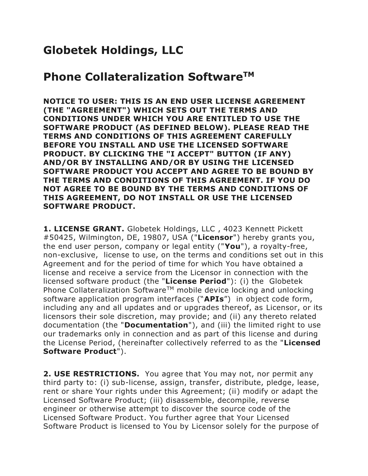## **Globetek Holdings, LLC**

## **Phone Collateralization SoftwareTM**

**NOTICE TO USER: THIS IS AN END USER LICENSE AGREEMENT (THE "AGREEMENT") WHICH SETS OUT THE TERMS AND CONDITIONS UNDER WHICH YOU ARE ENTITLED TO USE THE SOFTWARE PRODUCT (AS DEFINED BELOW). PLEASE READ THE TERMS AND CONDITIONS OF THIS AGREEMENT CAREFULLY BEFORE YOU INSTALL AND USE THE LICENSED SOFTWARE PRODUCT. BY CLICKING THE "I ACCEPT" BUTTON (IF ANY) AND/OR BY INSTALLING AND/OR BY USING THE LICENSED SOFTWARE PRODUCT YOU ACCEPT AND AGREE TO BE BOUND BY THE TERMS AND CONDITIONS OF THIS AGREEMENT. IF YOU DO NOT AGREE TO BE BOUND BY THE TERMS AND CONDITIONS OF THIS AGREEMENT, DO NOT INSTALL OR USE THE LICENSED SOFTWARE PRODUCT.**

**1. LICENSE GRANT.** Globetek Holdings, LLC , 4023 Kennett Pickett #50425, Wilmington, DE, 19807, USA ("**Licensor**") hereby grants you, the end user person, company or legal entity ("**You**"), a royalty-free, non-exclusive, license to use, on the terms and conditions set out in this Agreement and for the period of time for which You have obtained a license and receive a service from the Licensor in connection with the licensed software product (the "**License Period**"): (i) the Globetek Phone Collateralization Software<sup>TM</sup> mobile device locking and unlocking software application program interfaces ("**APIs**") in object code form, including any and all updates and or upgrades thereof, as Licensor, or its licensors their sole discretion, may provide; and (ii) any thereto related documentation (the "**Documentation**"), and (iii) the limited right to use our trademarks only in connection and as part of this license and during the License Period, (hereinafter collectively referred to as the "**Licensed Software Product**").

**2. USE RESTRICTIONS.** You agree that You may not, nor permit any third party to: (i) sub-license, assign, transfer, distribute, pledge, lease, rent or share Your rights under this Agreement; (ii) modify or adapt the Licensed Software Product; (iii) disassemble, decompile, reverse engineer or otherwise attempt to discover the source code of the Licensed Software Product. You further agree that Your Licensed Software Product is licensed to You by Licensor solely for the purpose of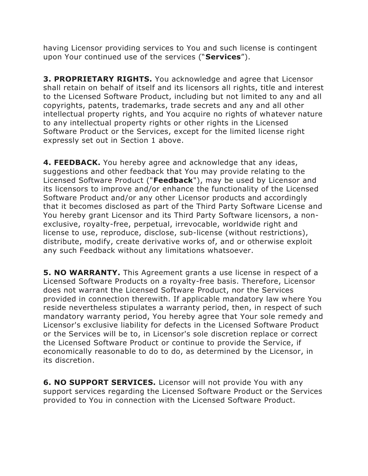having Licensor providing services to You and such license is contingent upon Your continued use of the services ("**Services**").

**3. PROPRIETARY RIGHTS.** You acknowledge and agree that Licensor shall retain on behalf of itself and its licensors all rights, title and interest to the Licensed Software Product, including but not limited to any and all copyrights, patents, trademarks, trade secrets and any and all other intellectual property rights, and You acquire no rights of whatever nature to any intellectual property rights or other rights in the Licensed Software Product or the Services, except for the limited license right expressly set out in Section 1 above.

**4. FEEDBACK.** You hereby agree and acknowledge that any ideas, suggestions and other feedback that You may provide relating to the Licensed Software Product ("**Feedback**"), may be used by Licensor and its licensors to improve and/or enhance the functionality of the Licensed Software Product and/or any other Licensor products and accordingly that it becomes disclosed as part of the Third Party Software License and You hereby grant Licensor and its Third Party Software licensors, a nonexclusive, royalty-free, perpetual, irrevocable, worldwide right and license to use, reproduce, disclose, sub-license (without restrictions), distribute, modify, create derivative works of, and or otherwise exploit any such Feedback without any limitations whatsoever.

**5. NO WARRANTY.** This Agreement grants a use license in respect of a Licensed Software Products on a royalty-free basis. Therefore, Licensor does not warrant the Licensed Software Product, nor the Services provided in connection therewith. If applicable mandatory law where You reside nevertheless stipulates a warranty period, then, in respect of such mandatory warranty period, You hereby agree that Your sole remedy and Licensor's exclusive liability for defects in the Licensed Software Product or the Services will be to, in Licensor's sole discretion replace or correct the Licensed Software Product or continue to provide the Service, if economically reasonable to do to do, as determined by the Licensor, in its discretion.

**6. NO SUPPORT SERVICES.** Licensor will not provide You with any support services regarding the Licensed Software Product or the Services provided to You in connection with the Licensed Software Product.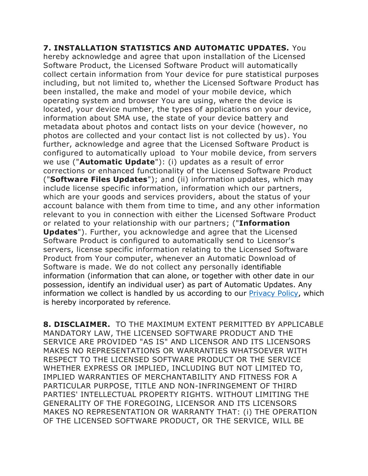**7. INSTALLATION STATISTICS AND AUTOMATIC UPDATES.** You hereby acknowledge and agree that upon installation of the Licensed Software Product, the Licensed Software Product will automatically collect certain information from Your device for pure statistical purposes including, but not limited to, whether the Licensed Software Product has been installed, the make and model of your mobile device, which operating system and browser You are using, where the device is located, your device number, the types of applications on your device, information about SMA use, the state of your device battery and metadata about photos and contact lists on your device (however, no photos are collected and your contact list is not collected by us). You further, acknowledge and agree that the Licensed Software Product is configured to automatically upload to Your mobile device, from servers we use ("**Automatic Update**"): (i) updates as a result of error corrections or enhanced functionality of the Licensed Software Product ("**Software Files Updates**"); and (ii) information updates, which may include license specific information, information which our partners, which are your goods and services providers, about the status of your account balance with them from time to time, and any other information relevant to you in connection with either the Licensed Software Product or related to your relationship with our partners; ("**Information Updates**"). Further, you acknowledge and agree that the Licensed Software Product is configured to automatically send to Licensor's servers, license specific information relating to the Licensed Software Product from Your computer, whenever an Automatic Download of Software is made. We do not collect any personally identifiable information (information that can alone, or together with other date in our possession, identify an individual user) as part of Automatic Updates. Any information we collect is handled by us according to our [Privacy Policy,](https://www.adaware.com/privacy-policy) which is hereby incorporated by reference.

**8. DISCLAIMER.** TO THE MAXIMUM EXTENT PERMITTED BY APPLICABLE MANDATORY LAW, THE LICENSED SOFTWARE PRODUCT AND THE SERVICE ARE PROVIDED "AS IS" AND LICENSOR AND ITS LICENSORS MAKES NO REPRESENTATIONS OR WARRANTIES WHATSOEVER WITH RESPECT TO THE LICENSED SOFTWARE PRODUCT OR THE SERVICE WHETHER EXPRESS OR IMPLIED, INCLUDING BUT NOT LIMITED TO, IMPLIED WARRANTIES OF MERCHANTABILITY AND FITNESS FOR A PARTICULAR PURPOSE, TITLE AND NON-INFRINGEMENT OF THIRD PARTIES' INTELLECTUAL PROPERTY RIGHTS. WITHOUT LIMITING THE GENERALITY OF THE FOREGOING, LICENSOR AND ITS LICENSORS MAKES NO REPRESENTATION OR WARRANTY THAT: (i) THE OPERATION OF THE LICENSED SOFTWARE PRODUCT, OR THE SERVICE, WILL BE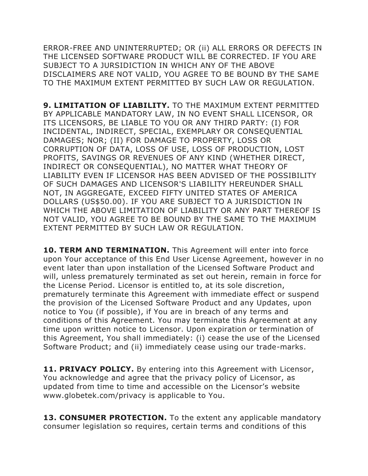ERROR-FREE AND UNINTERRUPTED; OR (ii) ALL ERRORS OR DEFECTS IN THE LICENSED SOFTWARE PRODUCT WILL BE CORRECTED. IF YOU ARE SUBJECT TO A JURSIDICTION IN WHICH ANY OF THE ABOVE DISCLAIMERS ARE NOT VALID, YOU AGREE TO BE BOUND BY THE SAME TO THE MAXIMUM EXTENT PERMITTED BY SUCH LAW OR REGULATION.

**9. LIMITATION OF LIABILITY.** TO THE MAXIMUM EXTENT PERMITTED BY APPLICABLE MANDATORY LAW, IN NO EVENT SHALL LICENSOR, OR ITS LICENSORS, BE LIABLE TO YOU OR ANY THIRD PARTY: (I) FOR INCIDENTAL, INDIRECT, SPECIAL, EXEMPLARY OR CONSEQUENTIAL DAMAGES; NOR; (II) FOR DAMAGE TO PROPERTY, LOSS OR CORRUPTION OF DATA, LOSS OF USE, LOSS OF PRODUCTION, LOST PROFITS, SAVINGS OR REVENUES OF ANY KIND (WHETHER DIRECT, INDIRECT OR CONSEQUENTIAL), NO MATTER WHAT THEORY OF LIABILITY EVEN IF LICENSOR HAS BEEN ADVISED OF THE POSSIBILITY OF SUCH DAMAGES AND LICENSOR'S LIABILITY HEREUNDER SHALL NOT, IN AGGREGATE, EXCEED FIFTY UNITED STATES OF AMERICA DOLLARS (US\$50.00). IF YOU ARE SUBJECT TO A JURISDICTION IN WHICH THE ABOVE LIMITATION OF LIABILITY OR ANY PART THEREOF IS NOT VALID, YOU AGREE TO BE BOUND BY THE SAME TO THE MAXIMUM EXTENT PERMITTED BY SUCH LAW OR REGULATION.

**10. TERM AND TERMINATION.** This Agreement will enter into force upon Your acceptance of this End User License Agreement, however in no event later than upon installation of the Licensed Software Product and will, unless prematurely terminated as set out herein, remain in force for the License Period. Licensor is entitled to, at its sole discretion, prematurely terminate this Agreement with immediate effect or suspend the provision of the Licensed Software Product and any Updates, upon notice to You (if possible), if You are in breach of any terms and conditions of this Agreement. You may terminate this Agreement at any time upon written notice to Licensor. Upon expiration or termination of this Agreement, You shall immediately: (i) cease the use of the Licensed Software Product; and (ii) immediately cease using our trade-marks.

**11. PRIVACY POLICY.** By entering into this Agreement with Licensor, You acknowledge and agree that the privacy policy of Licensor, as updated from time to time and accessible on the Licensor's website www.globetek.com/privacy is applicable to You.

**13. CONSUMER PROTECTION.** To the extent any applicable mandatory consumer legislation so requires, certain terms and conditions of this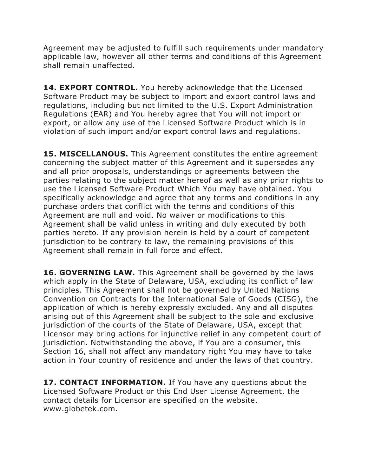Agreement may be adjusted to fulfill such requirements under mandatory applicable law, however all other terms and conditions of this Agreement shall remain unaffected.

**14. EXPORT CONTROL.** You hereby acknowledge that the Licensed Software Product may be subject to import and export control laws and regulations, including but not limited to the U.S. Export Administration Regulations (EAR) and You hereby agree that You will not import or export, or allow any use of the Licensed Software Product which is in violation of such import and/or export control laws and regulations.

**15. MISCELLANOUS.** This Agreement constitutes the entire agreement concerning the subject matter of this Agreement and it supersedes any and all prior proposals, understandings or agreements between the parties relating to the subject matter hereof as well as any prior rights to use the Licensed Software Product Which You may have obtained. You specifically acknowledge and agree that any terms and conditions in any purchase orders that conflict with the terms and conditions of this Agreement are null and void. No waiver or modifications to this Agreement shall be valid unless in writing and duly executed by both parties hereto. If any provision herein is held by a court of competent jurisdiction to be contrary to law, the remaining provisions of this Agreement shall remain in full force and effect.

16. GOVERNING LAW. This Agreement shall be governed by the laws which apply in the State of Delaware, USA, excluding its conflict of law principles. This Agreement shall not be governed by United Nations Convention on Contracts for the International Sale of Goods (CISG), the application of which is hereby expressly excluded. Any and all disputes arising out of this Agreement shall be subject to the sole and exclusive jurisdiction of the courts of the State of Delaware, USA, except that Licensor may bring actions for injunctive relief in any competent court of jurisdiction. Notwithstanding the above, if You are a consumer, this Section 16, shall not affect any mandatory right You may have to take action in Your country of residence and under the laws of that country.

**17. CONTACT INFORMATION.** If You have any questions about the Licensed Software Product or this End User License Agreement, the contact details for Licensor are specified on the website, www.globetek.com.